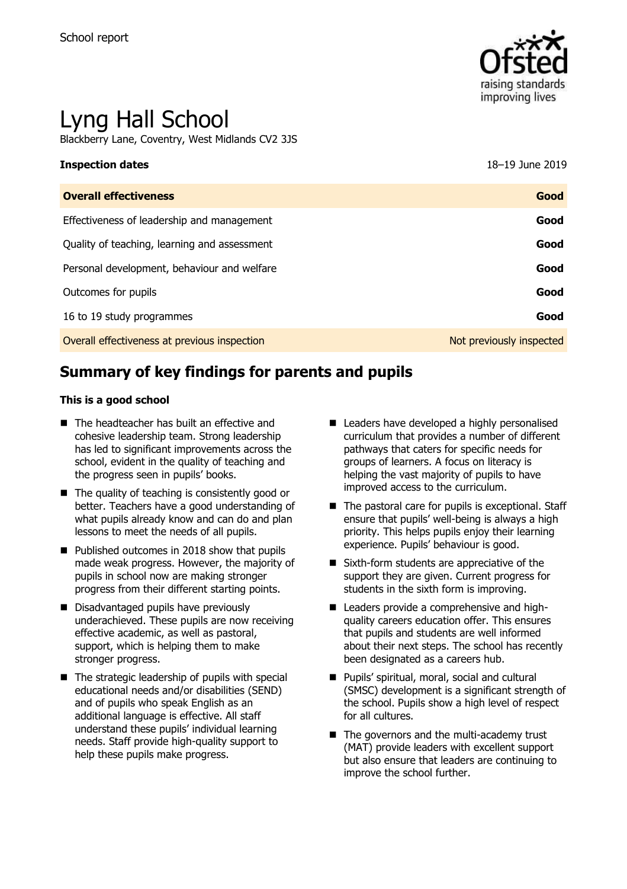

# Lyng Hall School

Blackberry Lane, Coventry, West Midlands CV2 3JS

### **Inspection dates** 18–19 June 2019

| <b>Overall effectiveness</b>                 | Good                     |
|----------------------------------------------|--------------------------|
| Effectiveness of leadership and management   | Good                     |
| Quality of teaching, learning and assessment | Good                     |
| Personal development, behaviour and welfare  | Good                     |
| Outcomes for pupils                          | Good                     |
| 16 to 19 study programmes                    | Good                     |
| Overall effectiveness at previous inspection | Not previously inspected |

# **Summary of key findings for parents and pupils**

#### **This is a good school**

- The headteacher has built an effective and cohesive leadership team. Strong leadership has led to significant improvements across the school, evident in the quality of teaching and the progress seen in pupils' books.
- $\blacksquare$  The quality of teaching is consistently good or better. Teachers have a good understanding of what pupils already know and can do and plan lessons to meet the needs of all pupils.
- Published outcomes in 2018 show that pupils made weak progress. However, the majority of pupils in school now are making stronger progress from their different starting points.
- Disadvantaged pupils have previously underachieved. These pupils are now receiving effective academic, as well as pastoral, support, which is helping them to make stronger progress.
- $\blacksquare$  The strategic leadership of pupils with special educational needs and/or disabilities (SEND) and of pupils who speak English as an additional language is effective. All staff understand these pupils' individual learning needs. Staff provide high-quality support to help these pupils make progress.
- Leaders have developed a highly personalised curriculum that provides a number of different pathways that caters for specific needs for groups of learners. A focus on literacy is helping the vast majority of pupils to have improved access to the curriculum.
- $\blacksquare$  The pastoral care for pupils is exceptional. Staff ensure that pupils' well-being is always a high priority. This helps pupils enjoy their learning experience. Pupils' behaviour is good.
- Sixth-form students are appreciative of the support they are given. Current progress for students in the sixth form is improving.
- Leaders provide a comprehensive and highquality careers education offer. This ensures that pupils and students are well informed about their next steps. The school has recently been designated as a careers hub.
- **Pupils' spiritual, moral, social and cultural** (SMSC) development is a significant strength of the school. Pupils show a high level of respect for all cultures.
- The governors and the multi-academy trust (MAT) provide leaders with excellent support but also ensure that leaders are continuing to improve the school further.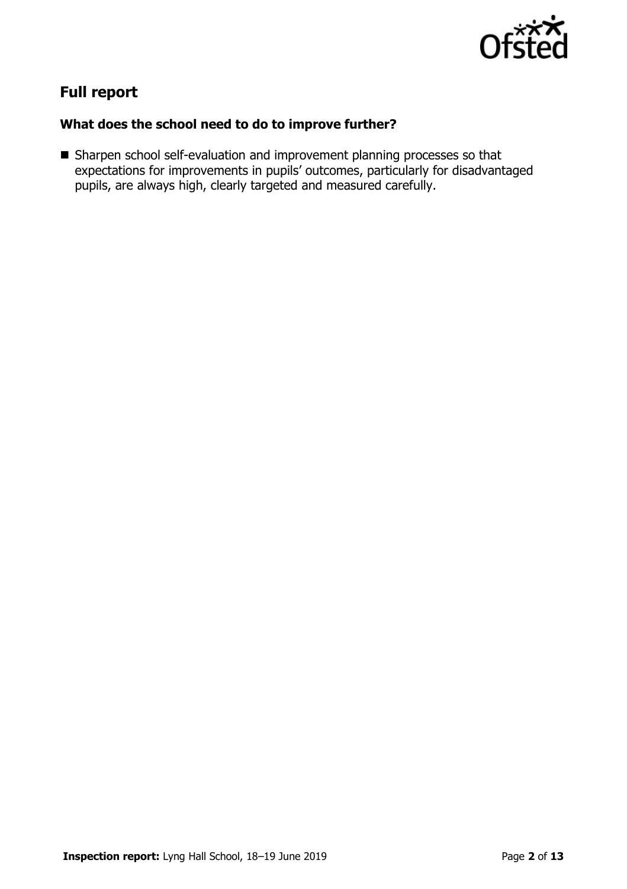

# **Full report**

### **What does the school need to do to improve further?**

Sharpen school self-evaluation and improvement planning processes so that expectations for improvements in pupils' outcomes, particularly for disadvantaged pupils, are always high, clearly targeted and measured carefully.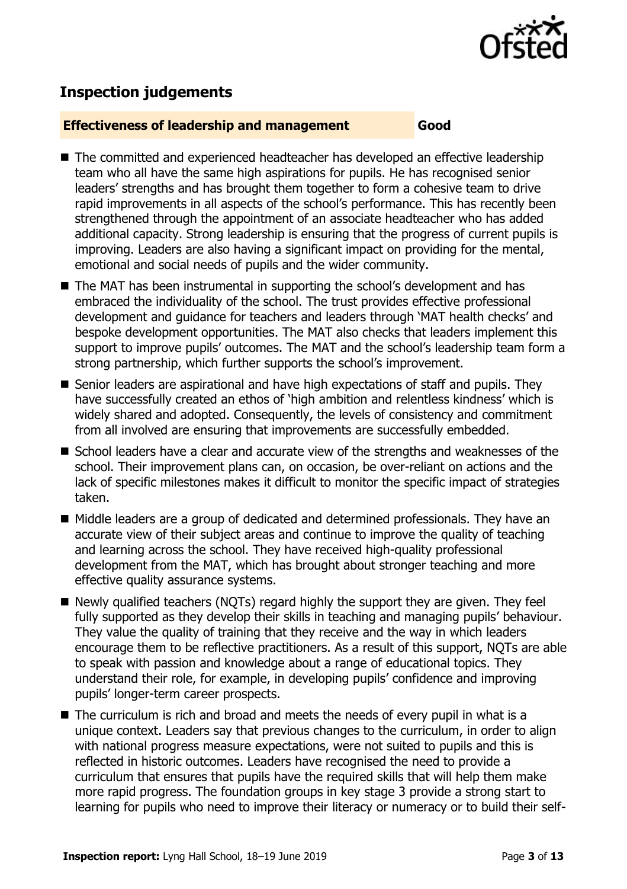

# **Inspection judgements**

#### **Effectiveness of leadership and management Good**

- The committed and experienced headteacher has developed an effective leadership team who all have the same high aspirations for pupils. He has recognised senior leaders' strengths and has brought them together to form a cohesive team to drive rapid improvements in all aspects of the school's performance. This has recently been strengthened through the appointment of an associate headteacher who has added additional capacity. Strong leadership is ensuring that the progress of current pupils is improving. Leaders are also having a significant impact on providing for the mental, emotional and social needs of pupils and the wider community.
- The MAT has been instrumental in supporting the school's development and has embraced the individuality of the school. The trust provides effective professional development and guidance for teachers and leaders through 'MAT health checks' and bespoke development opportunities. The MAT also checks that leaders implement this support to improve pupils' outcomes. The MAT and the school's leadership team form a strong partnership, which further supports the school's improvement.
- Senior leaders are aspirational and have high expectations of staff and pupils. They have successfully created an ethos of 'high ambition and relentless kindness' which is widely shared and adopted. Consequently, the levels of consistency and commitment from all involved are ensuring that improvements are successfully embedded.
- School leaders have a clear and accurate view of the strengths and weaknesses of the school. Their improvement plans can, on occasion, be over-reliant on actions and the lack of specific milestones makes it difficult to monitor the specific impact of strategies taken.
- Middle leaders are a group of dedicated and determined professionals. They have an accurate view of their subject areas and continue to improve the quality of teaching and learning across the school. They have received high-quality professional development from the MAT, which has brought about stronger teaching and more effective quality assurance systems.
- Newly qualified teachers (NQTs) regard highly the support they are given. They feel fully supported as they develop their skills in teaching and managing pupils' behaviour. They value the quality of training that they receive and the way in which leaders encourage them to be reflective practitioners. As a result of this support, NQTs are able to speak with passion and knowledge about a range of educational topics. They understand their role, for example, in developing pupils' confidence and improving pupils' longer-term career prospects.
- $\blacksquare$  The curriculum is rich and broad and meets the needs of every pupil in what is a unique context. Leaders say that previous changes to the curriculum, in order to align with national progress measure expectations, were not suited to pupils and this is reflected in historic outcomes. Leaders have recognised the need to provide a curriculum that ensures that pupils have the required skills that will help them make more rapid progress. The foundation groups in key stage 3 provide a strong start to learning for pupils who need to improve their literacy or numeracy or to build their self-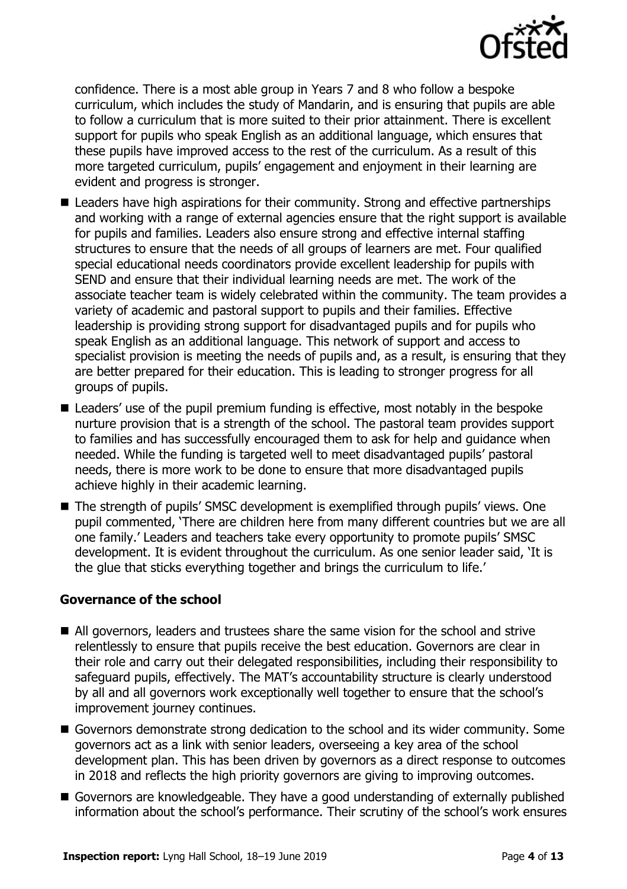

confidence. There is a most able group in Years 7 and 8 who follow a bespoke curriculum, which includes the study of Mandarin, and is ensuring that pupils are able to follow a curriculum that is more suited to their prior attainment. There is excellent support for pupils who speak English as an additional language, which ensures that these pupils have improved access to the rest of the curriculum. As a result of this more targeted curriculum, pupils' engagement and enjoyment in their learning are evident and progress is stronger.

- Leaders have high aspirations for their community. Strong and effective partnerships and working with a range of external agencies ensure that the right support is available for pupils and families. Leaders also ensure strong and effective internal staffing structures to ensure that the needs of all groups of learners are met. Four qualified special educational needs coordinators provide excellent leadership for pupils with SEND and ensure that their individual learning needs are met. The work of the associate teacher team is widely celebrated within the community. The team provides a variety of academic and pastoral support to pupils and their families. Effective leadership is providing strong support for disadvantaged pupils and for pupils who speak English as an additional language. This network of support and access to specialist provision is meeting the needs of pupils and, as a result, is ensuring that they are better prepared for their education. This is leading to stronger progress for all groups of pupils.
- Leaders' use of the pupil premium funding is effective, most notably in the bespoke nurture provision that is a strength of the school. The pastoral team provides support to families and has successfully encouraged them to ask for help and guidance when needed. While the funding is targeted well to meet disadvantaged pupils' pastoral needs, there is more work to be done to ensure that more disadvantaged pupils achieve highly in their academic learning.
- The strength of pupils' SMSC development is exemplified through pupils' views. One pupil commented, 'There are children here from many different countries but we are all one family.' Leaders and teachers take every opportunity to promote pupils' SMSC development. It is evident throughout the curriculum. As one senior leader said, 'It is the glue that sticks everything together and brings the curriculum to life.'

#### **Governance of the school**

- All governors, leaders and trustees share the same vision for the school and strive relentlessly to ensure that pupils receive the best education. Governors are clear in their role and carry out their delegated responsibilities, including their responsibility to safeguard pupils, effectively. The MAT's accountability structure is clearly understood by all and all governors work exceptionally well together to ensure that the school's improvement journey continues.
- Governors demonstrate strong dedication to the school and its wider community. Some governors act as a link with senior leaders, overseeing a key area of the school development plan. This has been driven by governors as a direct response to outcomes in 2018 and reflects the high priority governors are giving to improving outcomes.
- Governors are knowledgeable. They have a good understanding of externally published information about the school's performance. Their scrutiny of the school's work ensures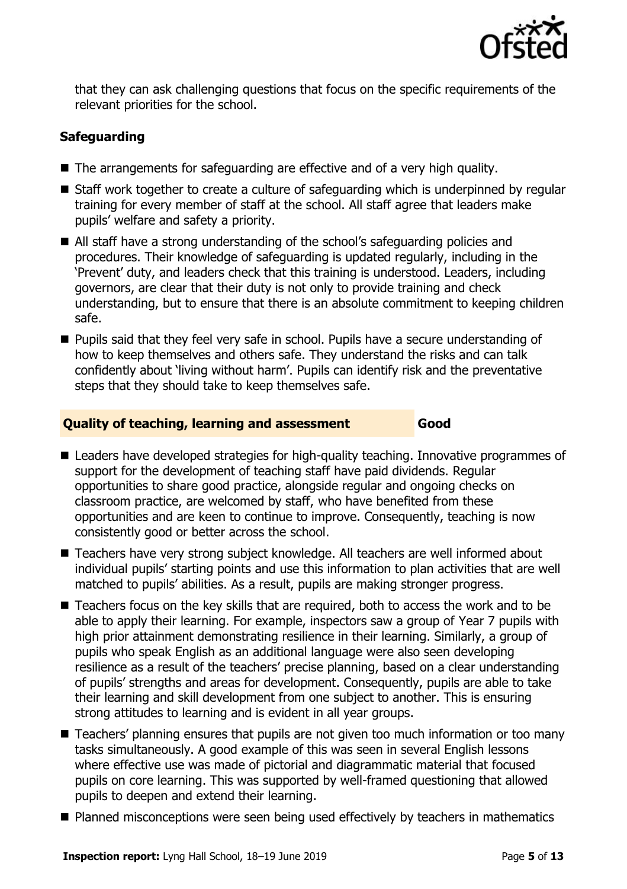

that they can ask challenging questions that focus on the specific requirements of the relevant priorities for the school.

### **Safeguarding**

- The arrangements for safeguarding are effective and of a very high quality.
- Staff work together to create a culture of safeguarding which is underpinned by regular training for every member of staff at the school. All staff agree that leaders make pupils' welfare and safety a priority.
- All staff have a strong understanding of the school's safeguarding policies and procedures. Their knowledge of safeguarding is updated regularly, including in the 'Prevent' duty, and leaders check that this training is understood. Leaders, including governors, are clear that their duty is not only to provide training and check understanding, but to ensure that there is an absolute commitment to keeping children safe.
- **Pupils said that they feel very safe in school. Pupils have a secure understanding of** how to keep themselves and others safe. They understand the risks and can talk confidently about 'living without harm'. Pupils can identify risk and the preventative steps that they should take to keep themselves safe.

### **Quality of teaching, learning and assessment Good**

- Leaders have developed strategies for high-quality teaching. Innovative programmes of support for the development of teaching staff have paid dividends. Regular opportunities to share good practice, alongside regular and ongoing checks on classroom practice, are welcomed by staff, who have benefited from these opportunities and are keen to continue to improve. Consequently, teaching is now consistently good or better across the school.
- Teachers have very strong subject knowledge. All teachers are well informed about individual pupils' starting points and use this information to plan activities that are well matched to pupils' abilities. As a result, pupils are making stronger progress.
- Teachers focus on the key skills that are required, both to access the work and to be able to apply their learning. For example, inspectors saw a group of Year 7 pupils with high prior attainment demonstrating resilience in their learning. Similarly, a group of pupils who speak English as an additional language were also seen developing resilience as a result of the teachers' precise planning, based on a clear understanding of pupils' strengths and areas for development. Consequently, pupils are able to take their learning and skill development from one subject to another. This is ensuring strong attitudes to learning and is evident in all year groups.
- Teachers' planning ensures that pupils are not given too much information or too many tasks simultaneously. A good example of this was seen in several English lessons where effective use was made of pictorial and diagrammatic material that focused pupils on core learning. This was supported by well-framed questioning that allowed pupils to deepen and extend their learning.
- Planned misconceptions were seen being used effectively by teachers in mathematics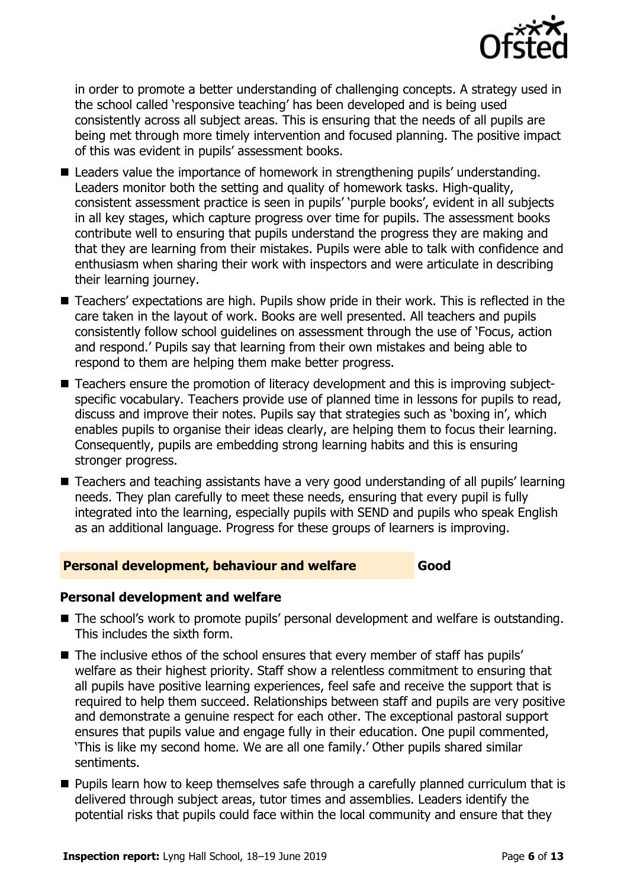

in order to promote a better understanding of challenging concepts. A strategy used in the school called 'responsive teaching' has been developed and is being used consistently across all subject areas. This is ensuring that the needs of all pupils are being met through more timely intervention and focused planning. The positive impact of this was evident in pupils' assessment books.

- Leaders value the importance of homework in strengthening pupils' understanding. Leaders monitor both the setting and quality of homework tasks. High-quality, consistent assessment practice is seen in pupils' 'purple books', evident in all subjects in all key stages, which capture progress over time for pupils. The assessment books contribute well to ensuring that pupils understand the progress they are making and that they are learning from their mistakes. Pupils were able to talk with confidence and enthusiasm when sharing their work with inspectors and were articulate in describing their learning journey.
- Teachers' expectations are high. Pupils show pride in their work. This is reflected in the care taken in the layout of work. Books are well presented. All teachers and pupils consistently follow school guidelines on assessment through the use of 'Focus, action and respond.' Pupils say that learning from their own mistakes and being able to respond to them are helping them make better progress.
- Teachers ensure the promotion of literacy development and this is improving subjectspecific vocabulary. Teachers provide use of planned time in lessons for pupils to read, discuss and improve their notes. Pupils say that strategies such as 'boxing in', which enables pupils to organise their ideas clearly, are helping them to focus their learning. Consequently, pupils are embedding strong learning habits and this is ensuring stronger progress.
- Teachers and teaching assistants have a very good understanding of all pupils' learning needs. They plan carefully to meet these needs, ensuring that every pupil is fully integrated into the learning, especially pupils with SEND and pupils who speak English as an additional language. Progress for these groups of learners is improving.

#### **Personal development, behaviour and welfare Good**

#### **Personal development and welfare**

- The school's work to promote pupils' personal development and welfare is outstanding. This includes the sixth form.
- The inclusive ethos of the school ensures that every member of staff has pupils' welfare as their highest priority. Staff show a relentless commitment to ensuring that all pupils have positive learning experiences, feel safe and receive the support that is required to help them succeed. Relationships between staff and pupils are very positive and demonstrate a genuine respect for each other. The exceptional pastoral support ensures that pupils value and engage fully in their education. One pupil commented, 'This is like my second home. We are all one family.' Other pupils shared similar sentiments.
- **Pupils learn how to keep themselves safe through a carefully planned curriculum that is** delivered through subject areas, tutor times and assemblies. Leaders identify the potential risks that pupils could face within the local community and ensure that they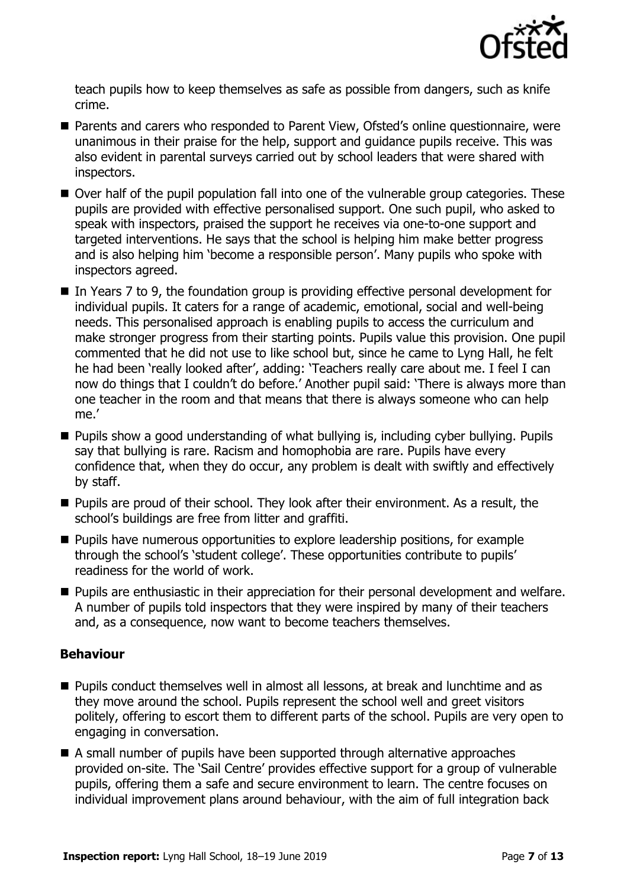

teach pupils how to keep themselves as safe as possible from dangers, such as knife crime.

- Parents and carers who responded to Parent View, Ofsted's online questionnaire, were unanimous in their praise for the help, support and guidance pupils receive. This was also evident in parental surveys carried out by school leaders that were shared with inspectors.
- Over half of the pupil population fall into one of the vulnerable group categories. These pupils are provided with effective personalised support. One such pupil, who asked to speak with inspectors, praised the support he receives via one-to-one support and targeted interventions. He says that the school is helping him make better progress and is also helping him 'become a responsible person'. Many pupils who spoke with inspectors agreed.
- In Years 7 to 9, the foundation group is providing effective personal development for individual pupils. It caters for a range of academic, emotional, social and well-being needs. This personalised approach is enabling pupils to access the curriculum and make stronger progress from their starting points. Pupils value this provision. One pupil commented that he did not use to like school but, since he came to Lyng Hall, he felt he had been 'really looked after', adding: 'Teachers really care about me. I feel I can now do things that I couldn't do before.' Another pupil said: 'There is always more than one teacher in the room and that means that there is always someone who can help me.'
- Pupils show a good understanding of what bullying is, including cyber bullying. Pupils say that bullying is rare. Racism and homophobia are rare. Pupils have every confidence that, when they do occur, any problem is dealt with swiftly and effectively by staff.
- **Pupils are proud of their school. They look after their environment. As a result, the** school's buildings are free from litter and graffiti.
- **Pupils have numerous opportunities to explore leadership positions, for example** through the school's 'student college'. These opportunities contribute to pupils' readiness for the world of work.
- **Pupils are enthusiastic in their appreciation for their personal development and welfare.** A number of pupils told inspectors that they were inspired by many of their teachers and, as a consequence, now want to become teachers themselves.

### **Behaviour**

- Pupils conduct themselves well in almost all lessons, at break and lunchtime and as they move around the school. Pupils represent the school well and greet visitors politely, offering to escort them to different parts of the school. Pupils are very open to engaging in conversation.
- A small number of pupils have been supported through alternative approaches provided on-site. The 'Sail Centre' provides effective support for a group of vulnerable pupils, offering them a safe and secure environment to learn. The centre focuses on individual improvement plans around behaviour, with the aim of full integration back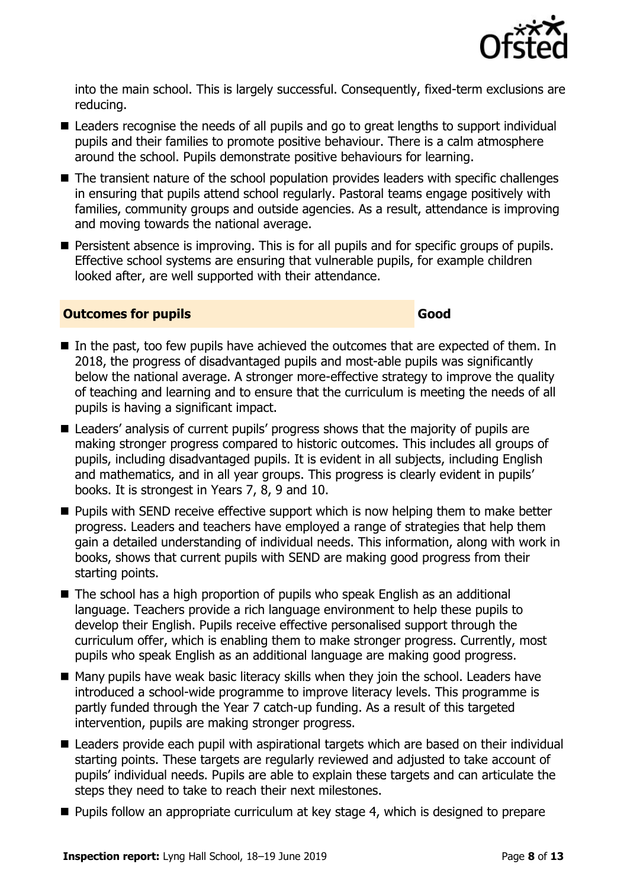

into the main school. This is largely successful. Consequently, fixed-term exclusions are reducing.

- Leaders recognise the needs of all pupils and go to great lengths to support individual pupils and their families to promote positive behaviour. There is a calm atmosphere around the school. Pupils demonstrate positive behaviours for learning.
- The transient nature of the school population provides leaders with specific challenges in ensuring that pupils attend school regularly. Pastoral teams engage positively with families, community groups and outside agencies. As a result, attendance is improving and moving towards the national average.
- **Persistent absence is improving. This is for all pupils and for specific groups of pupils.** Effective school systems are ensuring that vulnerable pupils, for example children looked after, are well supported with their attendance.

#### **Outcomes for pupils Good**

- $\blacksquare$  In the past, too few pupils have achieved the outcomes that are expected of them. In 2018, the progress of disadvantaged pupils and most-able pupils was significantly below the national average. A stronger more-effective strategy to improve the quality of teaching and learning and to ensure that the curriculum is meeting the needs of all pupils is having a significant impact.
- Leaders' analysis of current pupils' progress shows that the majority of pupils are making stronger progress compared to historic outcomes. This includes all groups of pupils, including disadvantaged pupils. It is evident in all subjects, including English and mathematics, and in all year groups. This progress is clearly evident in pupils' books. It is strongest in Years 7, 8, 9 and 10.
- **Pupils with SEND receive effective support which is now helping them to make better** progress. Leaders and teachers have employed a range of strategies that help them gain a detailed understanding of individual needs. This information, along with work in books, shows that current pupils with SEND are making good progress from their starting points.
- The school has a high proportion of pupils who speak English as an additional language. Teachers provide a rich language environment to help these pupils to develop their English. Pupils receive effective personalised support through the curriculum offer, which is enabling them to make stronger progress. Currently, most pupils who speak English as an additional language are making good progress.
- Many pupils have weak basic literacy skills when they join the school. Leaders have introduced a school-wide programme to improve literacy levels. This programme is partly funded through the Year 7 catch-up funding. As a result of this targeted intervention, pupils are making stronger progress.
- Leaders provide each pupil with aspirational targets which are based on their individual starting points. These targets are regularly reviewed and adjusted to take account of pupils' individual needs. Pupils are able to explain these targets and can articulate the steps they need to take to reach their next milestones.
- **Pupils follow an appropriate curriculum at key stage 4, which is designed to prepare**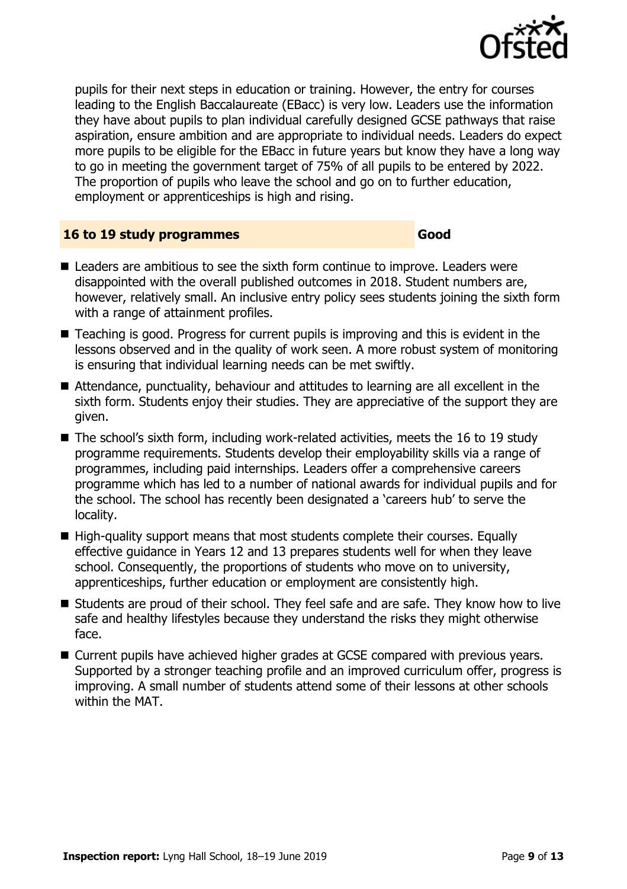

pupils for their next steps in education or training. However, the entry for courses leading to the English Baccalaureate (EBacc) is very low. Leaders use the information they have about pupils to plan individual carefully designed GCSE pathways that raise aspiration, ensure ambition and are appropriate to individual needs. Leaders do expect more pupils to be eligible for the EBacc in future years but know they have a long way to go in meeting the government target of 75% of all pupils to be entered by 2022. The proportion of pupils who leave the school and go on to further education, employment or apprenticeships is high and rising.

#### **16 to 19 study programmes Good**

- Leaders are ambitious to see the sixth form continue to improve. Leaders were disappointed with the overall published outcomes in 2018. Student numbers are, however, relatively small. An inclusive entry policy sees students joining the sixth form with a range of attainment profiles.
- Teaching is good. Progress for current pupils is improving and this is evident in the lessons observed and in the quality of work seen. A more robust system of monitoring is ensuring that individual learning needs can be met swiftly.
- Attendance, punctuality, behaviour and attitudes to learning are all excellent in the sixth form. Students enjoy their studies. They are appreciative of the support they are given.
- The school's sixth form, including work-related activities, meets the 16 to 19 study programme requirements. Students develop their employability skills via a range of programmes, including paid internships. Leaders offer a comprehensive careers programme which has led to a number of national awards for individual pupils and for the school. The school has recently been designated a 'careers hub' to serve the locality.
- $\blacksquare$  High-quality support means that most students complete their courses. Equally effective guidance in Years 12 and 13 prepares students well for when they leave school. Consequently, the proportions of students who move on to university, apprenticeships, further education or employment are consistently high.
- Students are proud of their school. They feel safe and are safe. They know how to live safe and healthy lifestyles because they understand the risks they might otherwise face.
- Current pupils have achieved higher grades at GCSE compared with previous years. Supported by a stronger teaching profile and an improved curriculum offer, progress is improving. A small number of students attend some of their lessons at other schools within the MAT.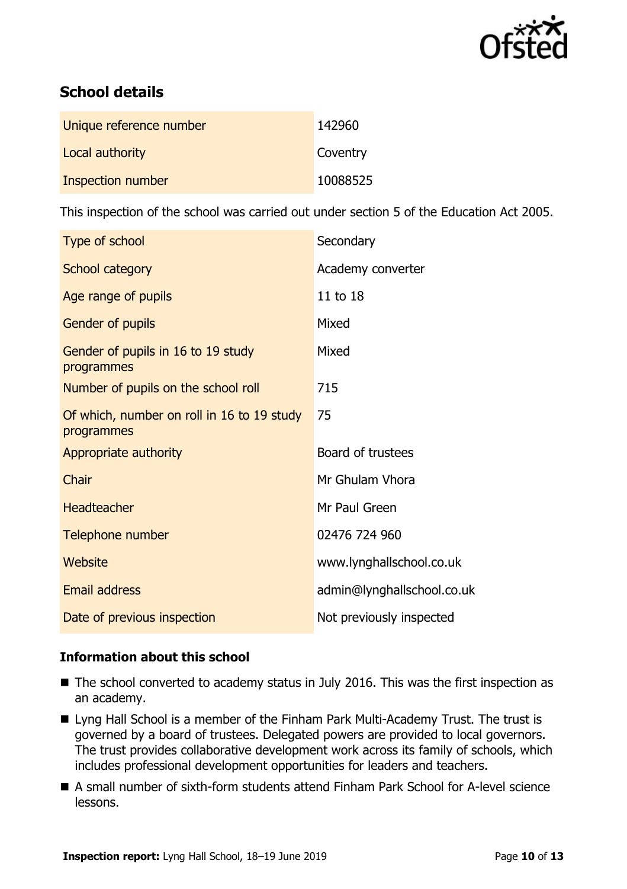

# **School details**

| Unique reference number | 142960   |
|-------------------------|----------|
| Local authority         | Coventry |
| Inspection number       | 10088525 |

This inspection of the school was carried out under section 5 of the Education Act 2005.

| Type of school                                           | Secondary                  |
|----------------------------------------------------------|----------------------------|
| School category                                          | Academy converter          |
| Age range of pupils                                      | 11 to 18                   |
| <b>Gender of pupils</b>                                  | Mixed                      |
| Gender of pupils in 16 to 19 study<br>programmes         | Mixed                      |
| Number of pupils on the school roll                      | 715                        |
| Of which, number on roll in 16 to 19 study<br>programmes | 75                         |
| Appropriate authority                                    | Board of trustees          |
| Chair                                                    | Mr Ghulam Vhora            |
| <b>Headteacher</b>                                       | Mr Paul Green              |
| Telephone number                                         | 02476 724 960              |
| Website                                                  | www.lynghallschool.co.uk   |
| <b>Email address</b>                                     | admin@lynghallschool.co.uk |
| Date of previous inspection                              | Not previously inspected   |

### **Information about this school**

- The school converted to academy status in July 2016. This was the first inspection as an academy.
- Lyng Hall School is a member of the Finham Park Multi-Academy Trust. The trust is governed by a board of trustees. Delegated powers are provided to local governors. The trust provides collaborative development work across its family of schools, which includes professional development opportunities for leaders and teachers.
- A small number of sixth-form students attend Finham Park School for A-level science lessons.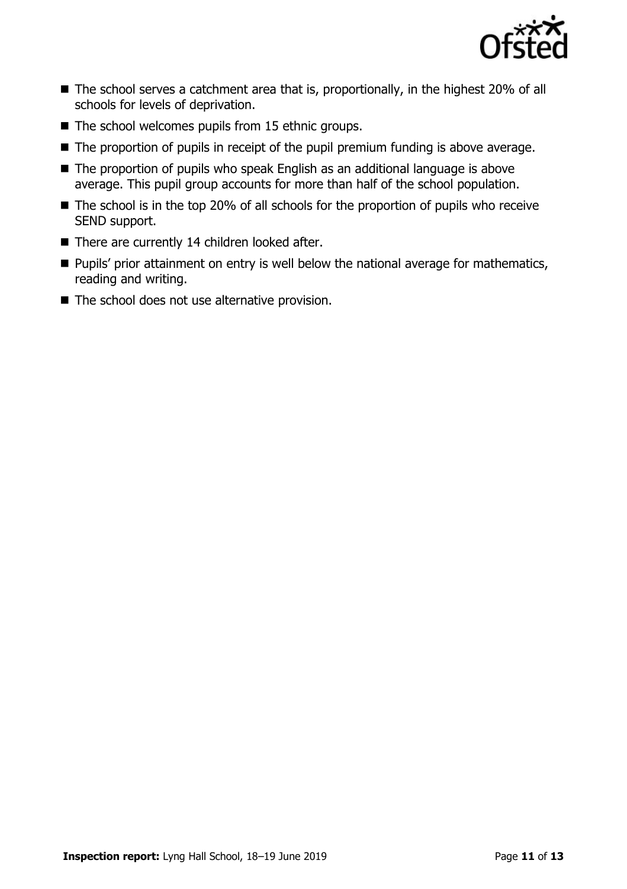

- The school serves a catchment area that is, proportionally, in the highest 20% of all schools for levels of deprivation.
- $\blacksquare$  The school welcomes pupils from 15 ethnic groups.
- The proportion of pupils in receipt of the pupil premium funding is above average.
- The proportion of pupils who speak English as an additional language is above average. This pupil group accounts for more than half of the school population.
- The school is in the top 20% of all schools for the proportion of pupils who receive SEND support.
- $\blacksquare$  There are currently 14 children looked after.
- **Pupils' prior attainment on entry is well below the national average for mathematics,** reading and writing.
- $\blacksquare$  The school does not use alternative provision.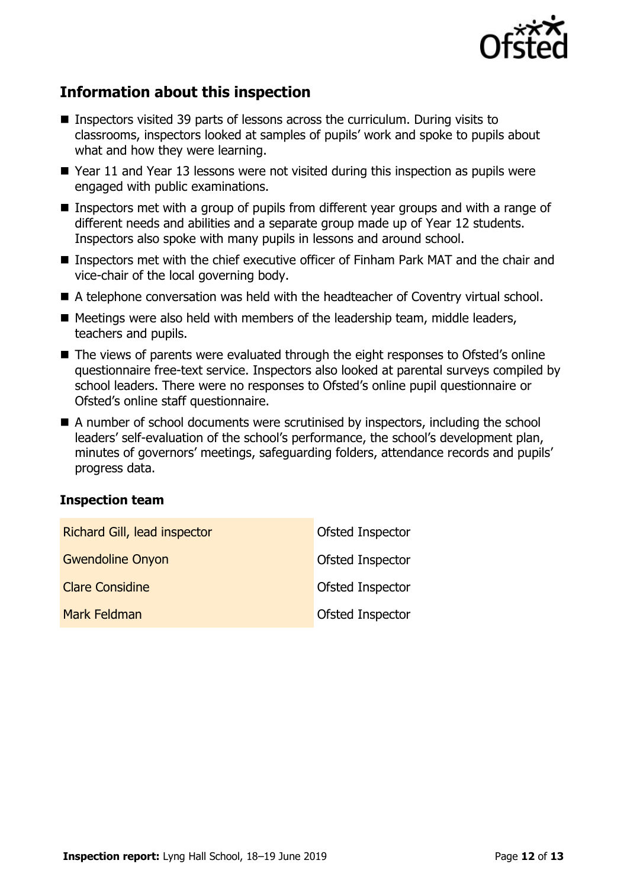

# **Information about this inspection**

- Inspectors visited 39 parts of lessons across the curriculum. During visits to classrooms, inspectors looked at samples of pupils' work and spoke to pupils about what and how they were learning.
- Year 11 and Year 13 lessons were not visited during this inspection as pupils were engaged with public examinations.
- Inspectors met with a group of pupils from different year groups and with a range of different needs and abilities and a separate group made up of Year 12 students. Inspectors also spoke with many pupils in lessons and around school.
- **Inspectors met with the chief executive officer of Finham Park MAT and the chair and** vice-chair of the local governing body.
- A telephone conversation was held with the headteacher of Coventry virtual school.
- $\blacksquare$  Meetings were also held with members of the leadership team, middle leaders, teachers and pupils.
- The views of parents were evaluated through the eight responses to Ofsted's online questionnaire free-text service. Inspectors also looked at parental surveys compiled by school leaders. There were no responses to Ofsted's online pupil questionnaire or Ofsted's online staff questionnaire.
- A number of school documents were scrutinised by inspectors, including the school leaders' self-evaluation of the school's performance, the school's development plan, minutes of governors' meetings, safeguarding folders, attendance records and pupils' progress data.

#### **Inspection team**

| Richard Gill, lead inspector | Ofsted Inspector |
|------------------------------|------------------|
| <b>Gwendoline Onyon</b>      | Ofsted Inspector |
| <b>Clare Considine</b>       | Ofsted Inspector |
| Mark Feldman                 | Ofsted Inspector |